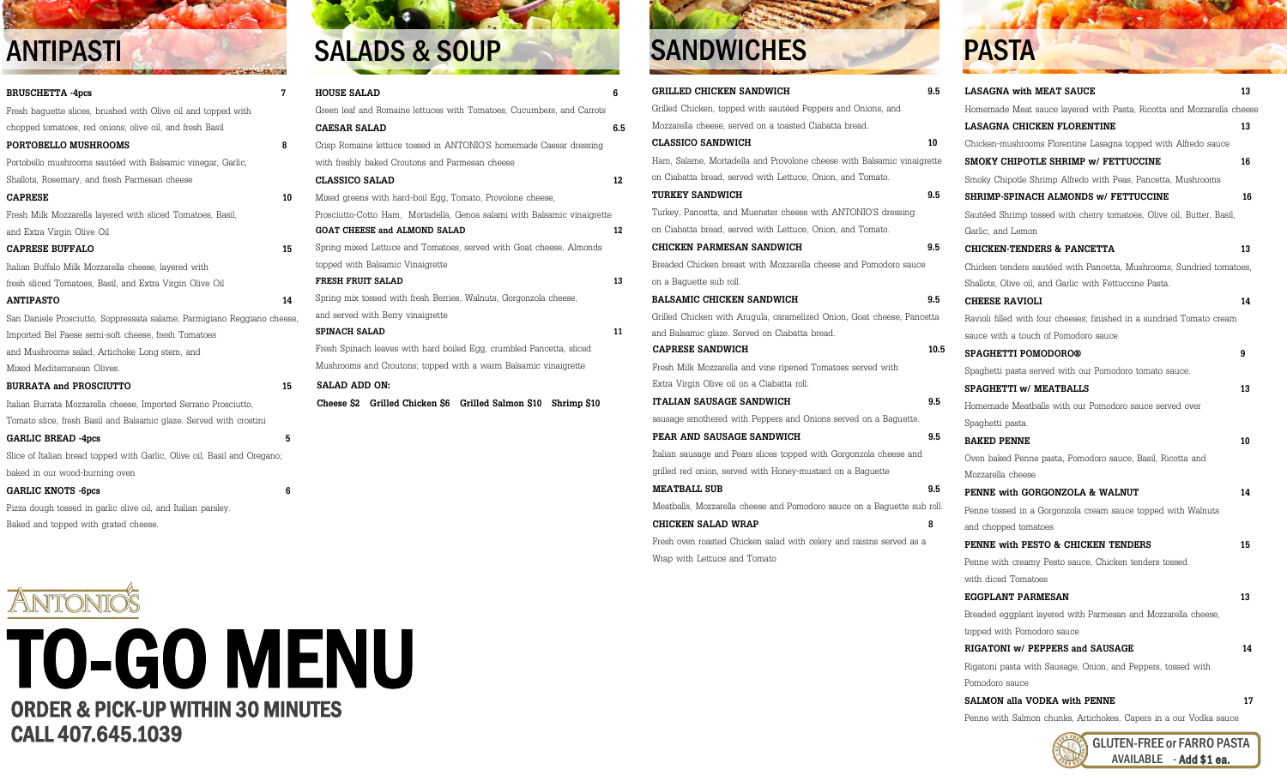#### **BRUSCHETTA -4pcs 7**

Fresh baguette slices, brushed with Olive oil and topped with chopped tomatoes, red onions, olive oil, and fresh Basil

#### **PORTOBELLO MUSHROOMS 8**

Portobello mushrooms sautéed with Balsamic vinegar, Garlic, Shallots, Rosemary, and fresh Parmesan cheese

#### **CAPRESE 10**

Fresh Milk Mozzarella layered with sliced Tomatoes, Basil, and Extra Virgin Olive Oil

#### **CAPRESE BUFFALO 15**

Italian Buffalo Milk Mozzarella cheese, layered with

fresh sliced Tomatoes, Basil, and Extra Virgin Olive Oil

#### **ANTIPASTO 14**

San Daniele Prosciutto, Soppressata salame, Parmigiano Reggiano cheese, Imported Bel Paese semi-soft cheese, fresh Tomatoes and Mushrooms salad, Artichoke Long stem, and Mixed Mediterranean Olives.

#### **BURRATA and PROSCIUTTO 15**

Italian Burrata Mozzarella cheese, Imported Serrano Prosciutto, Tomato slice, fresh Basil and Balsamic glaze. Served with crostini

#### **GARLIC BREAD -4pcs 5**

Slice of Italian bread topped with Garlic, Olive oil, Basil and Oregano; baked in our wood-burning oven

#### **GARLIC KNOTS -6pcs 6**

Pizza dough tossed in garlic olive oil, and Italian parsley. Baked and topped with grated cheese.

# ANTONIOS TO-GO MENU ORDER & PICK-UP WITHIN 30 MINUTES CALL 407.645.1039

# ANTIPASTI SALADS & SOUP SANDWICHES PASTA

| <b>HOUSE SALAD</b>                                                       | 6   |
|--------------------------------------------------------------------------|-----|
| Green leaf and Romaine lettuces with Tomatoes, Cucumbers, and Carrots    |     |
| <b>CAESAR SALAD</b>                                                      | 6.5 |
| Crisp Romaine lettuce tossed in ANTONIO'S homemade Caesar dressing       |     |
| with freshly baked Croutons and Parmesan cheese                          |     |
| <b>CLASSICO SALAD</b>                                                    | 12  |
| Mixed greens with hard-boil Egg, Tomato, Provolone cheese,               |     |
| Prosciutto-Cotto Ham, Mortadella, Genoa salami with Balsamic vinaigrette |     |
| GOAT CHEESE and ALMOND SALAD                                             | 12  |
| Spring mixed Lettuce and Tomatoes, served with Goat cheese, Almonds      |     |
| topped with Balsamic Vinaigrette                                         |     |
| <b>FRESH FRUIT SALAD</b>                                                 | 13  |
| Spring mix tossed with fresh Berries, Walnuts, Gorgonzola cheese,        |     |
| and served with Berry vinaigrette                                        |     |
| <b>SPINACH SALAD</b>                                                     | 11  |
| Fresh Spinach leaves with hard boiled Egg, crumbled Pancetta, sliced     |     |
| Mushrooms and Croutons; topped with a warm Balsamic vinaigrette          |     |
| SALAD ADD ON:                                                            |     |
| Cheese \$2 Grilled Chicken \$6 Grilled Salmon \$10<br>Shrimp \$10        |     |
|                                                                          |     |
|                                                                          |     |
|                                                                          |     |
|                                                                          |     |
|                                                                          |     |
|                                                                          |     |
|                                                                          |     |

| GRILLED CHICKEN SANDWICH                                                | 9.5  | <b>LASAGNA</b> with |
|-------------------------------------------------------------------------|------|---------------------|
| Grilled Chicken, topped with sautéed Peppers and Onions, and            |      | Homemade Mea        |
| Mozzarella cheese, served on a toasted Ciabatta bread.                  |      | LASAGNA CHI         |
| CLASSICO SANDWICH                                                       | 10   | Chicken-mushro      |
| Ham, Salame, Mortadella and Provolone cheese with Balsamic vinaigrette  |      | <b>SMOKY CHIPC</b>  |
| on Ciabatta bread, served with Lettuce, Onion, and Tomato.              |      | Smoky Chipotle      |
| TURKEY SANDWICH                                                         | 9.5  | SHRIMP-SPIN/        |
| Turkey, Pancetta, and Muenster cheese with ANTONIO'S dressing           |      | Sautéed Shrimp      |
| on Ciabatta bread, served with Lettuce, Onion, and Tomato.              |      | Garlic, and Lem     |
| CHICKEN PARMESAN SANDWICH                                               | 9.5  | <b>CHICKEN-TEN</b>  |
| Breaded Chicken breast with Mozzarella cheese and Pomodoro sauce        |      | Chicken tenders     |
| on a Baguette sub roll.                                                 |      | Shallots, Olive o   |
| <b>BALSAMIC CHICKEN SANDWICH</b>                                        | 9.5  | <b>CHEESE RAVI</b>  |
| Grilled Chicken with Arugula, caramelized Onion, Goat cheese, Pancetta  |      | Ravioli filled wit  |
| and Balsamic glaze. Served on Ciabatta bread.                           |      | sauce with a tou    |
| <b>CAPRESE SANDWICH</b>                                                 | 10.5 | <b>SPAGHETTI PO</b> |
| Fresh Milk Mozzarella and vine ripened Tomatoes served with             |      | Spaghetti pasta     |
| Extra Virgin Olive oil on a Ciabatta roll.                              |      | SPAGHETTI w         |
| ITALIAN SAUSAGE SANDWICH                                                | 9.5  | Homemade Mea        |
| sausage smothered with Peppers and Onions served on a Baguette.         |      | Spaghetti pasta.    |
| PEAR AND SAUSAGE SANDWICH                                               | 9.5  | <b>BAKED PENNE</b>  |
| Italian sausage and Pears slices topped with Gorgonzola cheese and      |      | Oven baked Pen      |
| grilled red onion, served with Honey-mustard on a Baguette              |      | Mozzarella chee;    |
| <b>MEATBALL SUB</b>                                                     | 9.5  | PENNE with G        |
| Meatballs, Mozzarella cheese and Pomodoro sauce on a Baguette sub roll. |      | Penne tossed in     |
| <b>CHICKEN SALAD WRAP</b>                                               | 8    | and chopped tor     |
| Fresh oven roasted Chicken salad with celery and raisins served as a    |      | PENNE with P.       |
| Wrap with Lettuce and Tomato                                            |      | Penne with crea     |
|                                                                         |      | with diced Tom      |
|                                                                         |      | <b>EGGPLANT PA</b>  |
|                                                                         |      | Breaded eggplar     |
|                                                                         |      | topped with Por.    |
|                                                                         |      | RIGATONI w/         |
|                                                                         |      |                     |

| <b>LASAGNA with MEAT SAUCE</b>                                        | 13 |
|-----------------------------------------------------------------------|----|
| Homemade Meat sauce layered with Pasta, Ricotta and Mozzarella cheese |    |
| LASAGNA CHICKEN FLORENTINE                                            | 13 |
| Chicken-mushrooms Florentine Lasagna topped with Alfredo sauce        |    |
| SMOKY CHIPOTLE SHRIMP w/ FETTUCCINE                                   | 16 |
| Smoky Chipotle Shrimp Alfredo with Peas, Pancetta, Mushrooms          |    |
| SHRIMP-SPINACH ALMONDS w/ FETTUCCINE                                  | 16 |
| Sautéed Shrimp tossed with cherry tomatoes, Olive oil, Butter, Basil, |    |
| Garlic, and Lemon                                                     |    |
| CHICKEN-TENDERS & PANCETTA                                            | 13 |
| Chicken tenders sautéed with Pancetta, Mushrooms, Sundried tomatoes,  |    |
| Shallots, Olive oil, and Garlic with Fettuccine Pasta.                |    |
| <b>CHEESE RAVIOLI</b>                                                 | 14 |
| Ravioli filled with four cheeses; finished in a sundried Tomato cream |    |
| sauce with a touch of Pomodoro sauce                                  |    |
| <b>SPAGHETTI POMODORO®</b>                                            | 9  |
| Spaghetti pasta served with our Pomodoro tomato sauce.                |    |
| <b>SPAGHETTI w/ MEATBALLS</b>                                         | 13 |
| Homemade Meatballs with our Pomodoro sauce served over                |    |
| Spaghetti pasta.                                                      |    |
| <b>BAKED PENNE</b>                                                    | 10 |
| Oven baked Penne pasta, Pomodoro sauce, Basil, Ricotta and            |    |
| Mozzarella cheese                                                     |    |
| PENNE with GORGONZOLA & WALNUT                                        | 14 |
| Penne tossed in a Gorgonzola cream sauce topped with Walnuts          |    |
| and chopped tomatoes                                                  |    |
| PENNE with PESTO & CHICKEN TENDERS                                    | 15 |
| Penne with creamy Pesto sauce, Chicken tenders tossed                 |    |
| with diced Tomatoes                                                   |    |
| <b>EGGPLANT PARMESAN</b>                                              | 13 |
| Breaded eggplant layered with Parmesan and Mozzarella cheese,         |    |
| topped with Pomodoro sauce                                            |    |
| RIGATONI w/ PEPPERS and SAUSAGE                                       | 14 |
| Rigatoni pasta with Sausage, Onion, and Peppers, tossed with          |    |
| Pomodoro sauce                                                        |    |
| SALMON alla VODKA with PENNE                                          | 17 |
| Penne with Salmon chunks, Artichokes, Capers in a our Vodka sauce     |    |